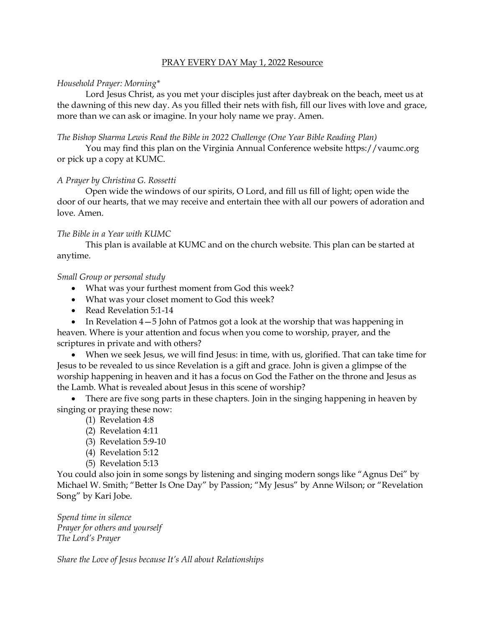### PRAY EVERY DAY May 1, 2022 Resource

## *Household Prayer: Morning\**

Lord Jesus Christ, as you met your disciples just after daybreak on the beach, meet us at the dawning of this new day. As you filled their nets with fish, fill our lives with love and grace, more than we can ask or imagine. In your holy name we pray. Amen.

# *The Bishop Sharma Lewis Read the Bible in 2022 Challenge (One Year Bible Reading Plan)*

You may find this plan on the Virginia Annual Conference website [https://vaumc.org](https://vaumc.org/) or pick up a copy at KUMC.

#### *A Prayer by Christina G. Rossetti*

Open wide the windows of our spirits, O Lord, and fill us fill of light; open wide the door of our hearts, that we may receive and entertain thee with all our powers of adoration and love. Amen.

## *The Bible in a Year with KUMC*

This plan is available at KUMC and on the church website. This plan can be started at anytime.

## *Small Group or personal study*

- What was your furthest moment from God this week?
- What was your closet moment to God this week?
- Read Revelation 5:1-14
- In Revelation 4—5 John of Patmos got a look at the worship that was happening in

heaven. Where is your attention and focus when you come to worship, prayer, and the scriptures in private and with others?

• When we seek Jesus, we will find Jesus: in time, with us, glorified. That can take time for Jesus to be revealed to us since Revelation is a gift and grace. John is given a glimpse of the worship happening in heaven and it has a focus on God the Father on the throne and Jesus as the Lamb. What is revealed about Jesus in this scene of worship?

There are five song parts in these chapters. Join in the singing happening in heaven by singing or praying these now:

- (1) Revelation 4:8
- (2) Revelation 4:11
- (3) Revelation 5:9-10
- (4) Revelation 5:12
- (5) Revelation 5:13

You could also join in some songs by listening and singing modern songs like "Agnus Dei" by Michael W. Smith; "Better Is One Day" by Passion; "My Jesus" by Anne Wilson; or "Revelation Song" by Kari Jobe.

*Spend time in silence Prayer for others and yourself The Lord's Prayer*

*Share the Love of Jesus because It's All about Relationships*